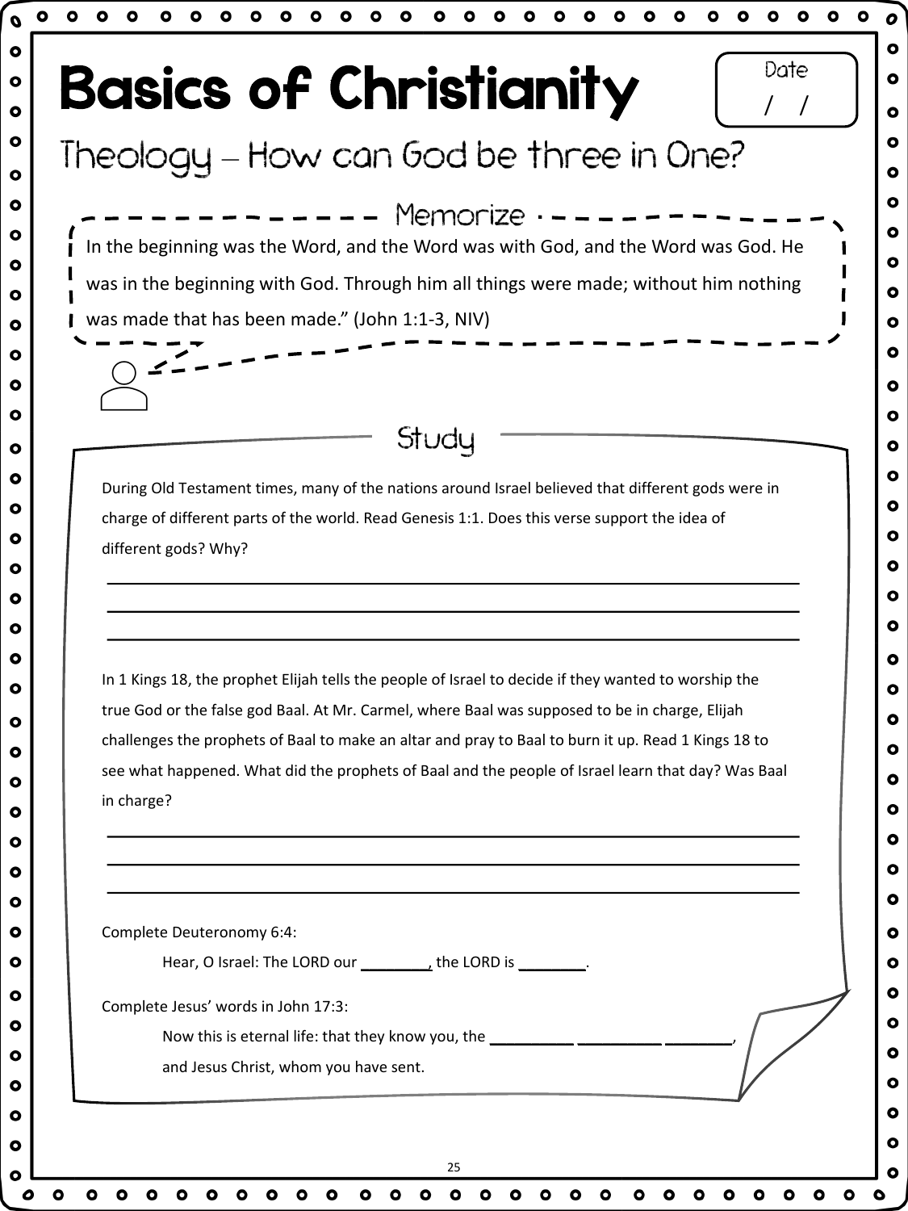| $\bullet$                                                                                                                                                                                                 |
|-----------------------------------------------------------------------------------------------------------------------------------------------------------------------------------------------------------|
| Date<br><b>Basics of Christianity</b>                                                                                                                                                                     |
|                                                                                                                                                                                                           |
| Theology - How can God be three in One?                                                                                                                                                                   |
| $--- - -$ Memorize $--- -$                                                                                                                                                                                |
| In the beginning was the Word, and the Word was with God, and the Word was God. He                                                                                                                        |
| was in the beginning with God. Through him all things were made; without him nothing                                                                                                                      |
| was made that has been made." (John 1:1-3, NIV)                                                                                                                                                           |
|                                                                                                                                                                                                           |
|                                                                                                                                                                                                           |
| Study                                                                                                                                                                                                     |
|                                                                                                                                                                                                           |
| During Old Testament times, many of the nations around Israel believed that different gods were in<br>charge of different parts of the world. Read Genesis 1:1. Does this verse support the idea of       |
| different gods? Why?                                                                                                                                                                                      |
|                                                                                                                                                                                                           |
|                                                                                                                                                                                                           |
|                                                                                                                                                                                                           |
| In 1 Kings 18, the prophet Elijah tells the people of Israel to decide if they wanted to worship the                                                                                                      |
| true God or the false god Baal. At Mr. Carmel, where Baal was supposed to be in charge, Elijah                                                                                                            |
| challenges the prophets of Baal to make an altar and pray to Baal to burn it up. Read 1 Kings 18 to<br>see what happened. What did the prophets of Baal and the people of Israel learn that day? Was Baal |
| in charge?                                                                                                                                                                                                |
|                                                                                                                                                                                                           |
| ,我们也不会有一个人的人,我们也不会有一个人的人,我们也不会有一个人的人。""我们,我们也不会有一个人的人,我们也不会有一个人的人。""我们,我们也不会有一个人                                                                                                                          |
|                                                                                                                                                                                                           |
| Complete Deuteronomy 6:4:                                                                                                                                                                                 |
|                                                                                                                                                                                                           |
| Complete Jesus' words in John 17:3:                                                                                                                                                                       |
| Now this is eternal life: that they know you, the _______________________________                                                                                                                         |
| and Jesus Christ, whom you have sent.                                                                                                                                                                     |
|                                                                                                                                                                                                           |
|                                                                                                                                                                                                           |
|                                                                                                                                                                                                           |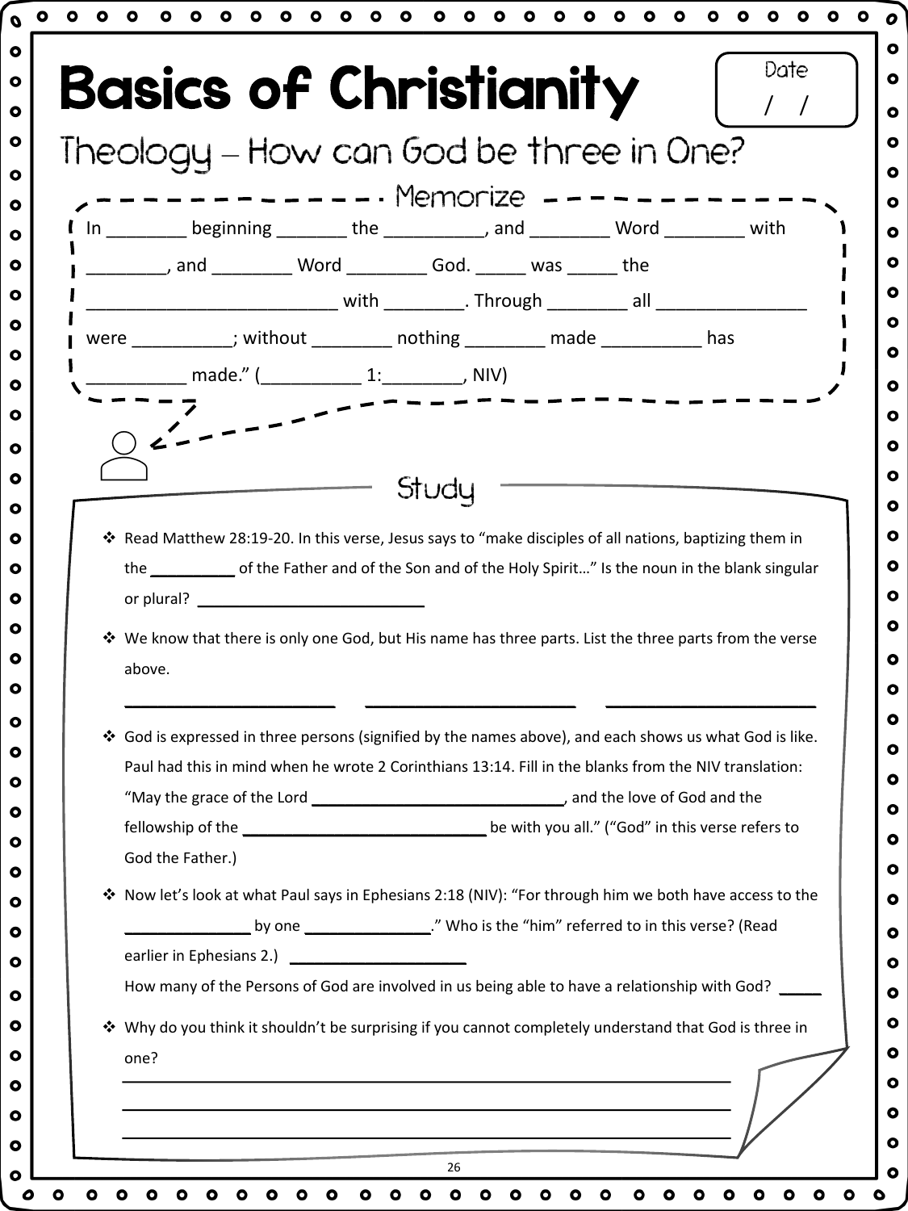|   | In ________ beginning _______ the __________, and ________ Word ________ with                                                                                                                                    |
|---|------------------------------------------------------------------------------------------------------------------------------------------------------------------------------------------------------------------|
|   | ___________, and ___________ Word ___________ God. _______ was _______ the                                                                                                                                       |
|   | _________________ with _________. Through __________ all __________                                                                                                                                              |
|   | were ___________; without _________ nothing _________ made ___________ has                                                                                                                                       |
|   | __________ made." (___________ 1:_________, NIV)                                                                                                                                                                 |
|   |                                                                                                                                                                                                                  |
|   |                                                                                                                                                                                                                  |
|   | Study                                                                                                                                                                                                            |
|   |                                                                                                                                                                                                                  |
|   |                                                                                                                                                                                                                  |
|   | * Read Matthew 28:19-20. In this verse, Jesus says to "make disciples of all nations, baptizing them in                                                                                                          |
|   | the ______________ of the Father and of the Son and of the Holy Spirit" Is the noun in the blank singular                                                                                                        |
|   |                                                                                                                                                                                                                  |
|   | * We know that there is only one God, but His name has three parts. List the three parts from the verse                                                                                                          |
|   | above.                                                                                                                                                                                                           |
|   |                                                                                                                                                                                                                  |
|   |                                                                                                                                                                                                                  |
|   | ❖ God is expressed in three persons (signified by the names above), and each shows us what God is like.<br>Paul had this in mind when he wrote 2 Corinthians 13:14. Fill in the blanks from the NIV translation: |
|   |                                                                                                                                                                                                                  |
|   |                                                                                                                                                                                                                  |
|   |                                                                                                                                                                                                                  |
|   | God the Father.)                                                                                                                                                                                                 |
| ❖ | Now let's look at what Paul says in Ephesians 2:18 (NIV): "For through him we both have access to the                                                                                                            |
|   |                                                                                                                                                                                                                  |
|   | earlier in Ephesians 2.)                                                                                                                                                                                         |
|   | How many of the Persons of God are involved in us being able to have a relationship with God?                                                                                                                    |
|   | * Why do you think it shouldn't be surprising if you cannot completely understand that God is three in                                                                                                           |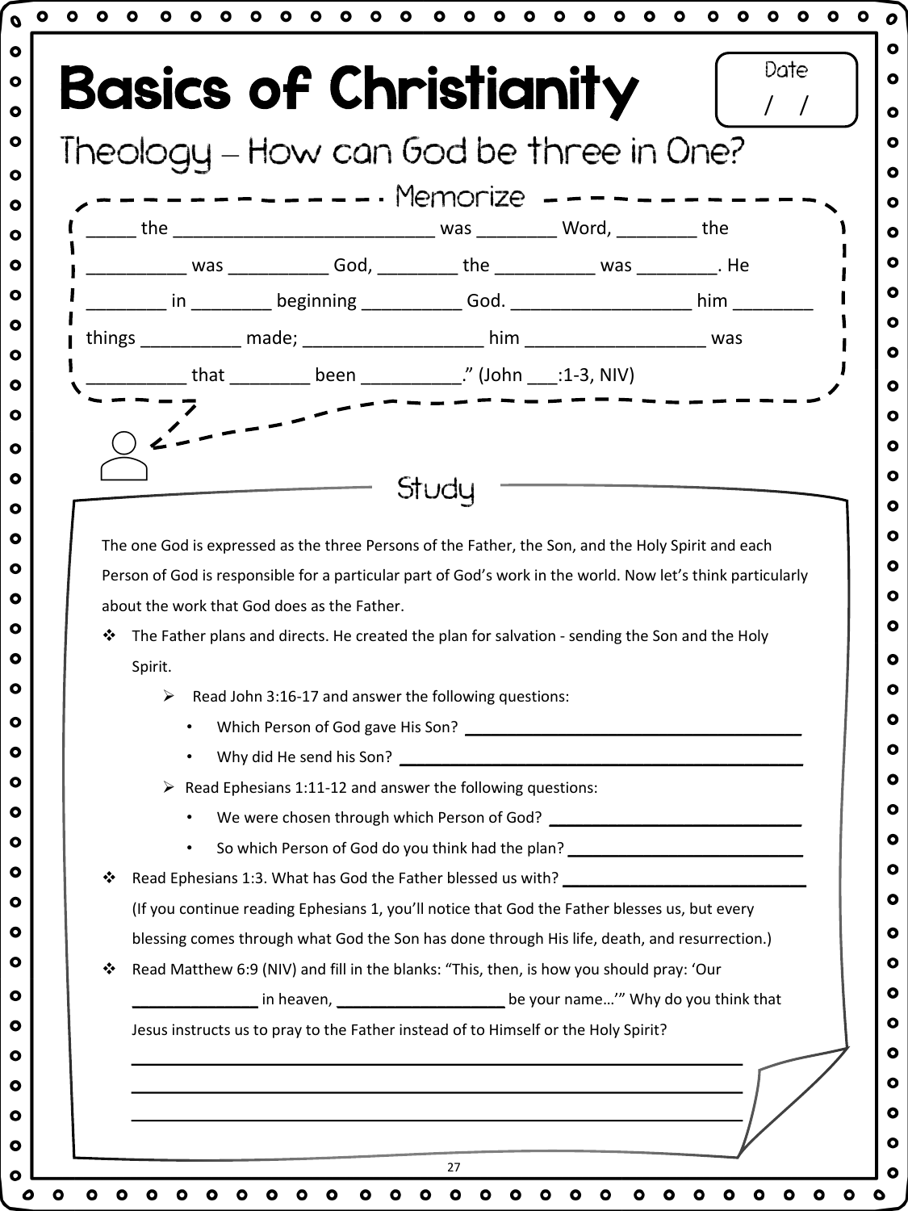|   | ------------ Memorize ---------                                                                                                                 |
|---|-------------------------------------------------------------------------------------------------------------------------------------------------|
|   |                                                                                                                                                 |
|   |                                                                                                                                                 |
|   |                                                                                                                                                 |
|   | ________ in _________ beginning ____________ God. _____________________ him _________                                                           |
|   |                                                                                                                                                 |
|   |                                                                                                                                                 |
|   |                                                                                                                                                 |
|   |                                                                                                                                                 |
|   |                                                                                                                                                 |
|   | Study                                                                                                                                           |
|   |                                                                                                                                                 |
|   |                                                                                                                                                 |
|   | The one God is expressed as the three Persons of the Father, the Son, and the Holy Spirit and each                                              |
|   | Person of God is responsible for a particular part of God's work in the world. Now let's think particularly                                     |
|   | about the work that God does as the Father.                                                                                                     |
| ❖ | The Father plans and directs. He created the plan for salvation - sending the Son and the Holy                                                  |
|   | Spirit.                                                                                                                                         |
|   | Read John 3:16-17 and answer the following questions:<br>➤                                                                                      |
|   |                                                                                                                                                 |
|   | Why did He send his Son?                                                                                                                        |
|   | $\triangleright$ Read Ephesians 1:11-12 and answer the following questions:                                                                     |
|   |                                                                                                                                                 |
|   | So which Person of God do you think had the plan? ______________________________<br>$\bullet$                                                   |
| ❖ | Read Ephesians 1:3. What has God the Father blessed us with? ___________________                                                                |
|   | (If you continue reading Ephesians 1, you'll notice that God the Father blesses us, but every                                                   |
| ❖ | blessing comes through what God the Son has done through His life, death, and resurrection.)                                                    |
|   | Read Matthew 6:9 (NIV) and fill in the blanks: "This, then, is how you should pray: 'Our                                                        |
|   | in heaven, 1990 [10] be your name'" Why do you think that<br>Jesus instructs us to pray to the Father instead of to Himself or the Holy Spirit? |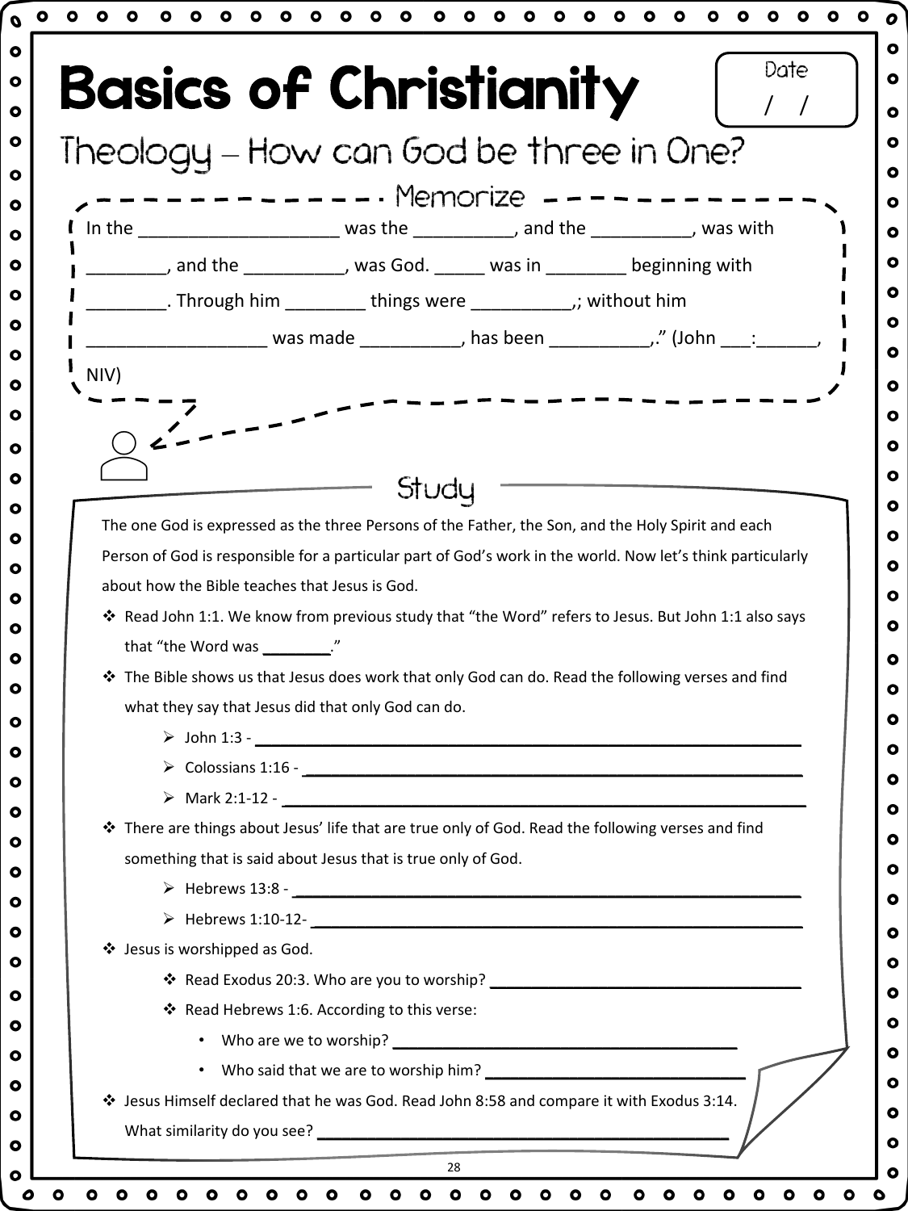| Theology - How can God be three in One?<br>I In the _________________________ was the ___________, and the __________, was with<br>_________, and the ___________, was God. _____ was in ________ beginning with<br>__________. Through him __________ things were ______________; without him<br>Study<br>The one God is expressed as the three Persons of the Father, the Son, and the Holy Spirit and each<br>Person of God is responsible for a particular part of God's work in the world. Now let's think particularly<br>about how the Bible teaches that Jesus is God.<br>* Read John 1:1. We know from previous study that "the Word" refers to Jesus. But John 1:1 also says<br>that "the Word was _________."<br>❖ The Bible shows us that Jesus does work that only God can do. Read the following verses and find<br>what they say that Jesus did that only God can do.<br>$\triangleright$ John 1:3 -<br>* There are things about Jesus' life that are true only of God. Read the following verses and find<br>something that is said about Jesus that is true only of God.<br>$\triangleright$ Hebrews 1:10-12-<br>$\frac{1}{2}$<br>❖ Jesus is worshipped as God.<br>* Read Hebrews 1:6. According to this verse:<br>❖ Jesus Himself declared that he was God. Read John 8:58 and compare it with Exodus 3:14. |      | <b>Basics of Christianity</b> |
|-------------------------------------------------------------------------------------------------------------------------------------------------------------------------------------------------------------------------------------------------------------------------------------------------------------------------------------------------------------------------------------------------------------------------------------------------------------------------------------------------------------------------------------------------------------------------------------------------------------------------------------------------------------------------------------------------------------------------------------------------------------------------------------------------------------------------------------------------------------------------------------------------------------------------------------------------------------------------------------------------------------------------------------------------------------------------------------------------------------------------------------------------------------------------------------------------------------------------------------------------------------------------------------------------------------------------------|------|-------------------------------|
|                                                                                                                                                                                                                                                                                                                                                                                                                                                                                                                                                                                                                                                                                                                                                                                                                                                                                                                                                                                                                                                                                                                                                                                                                                                                                                                               |      |                               |
|                                                                                                                                                                                                                                                                                                                                                                                                                                                                                                                                                                                                                                                                                                                                                                                                                                                                                                                                                                                                                                                                                                                                                                                                                                                                                                                               |      |                               |
|                                                                                                                                                                                                                                                                                                                                                                                                                                                                                                                                                                                                                                                                                                                                                                                                                                                                                                                                                                                                                                                                                                                                                                                                                                                                                                                               |      |                               |
|                                                                                                                                                                                                                                                                                                                                                                                                                                                                                                                                                                                                                                                                                                                                                                                                                                                                                                                                                                                                                                                                                                                                                                                                                                                                                                                               |      |                               |
|                                                                                                                                                                                                                                                                                                                                                                                                                                                                                                                                                                                                                                                                                                                                                                                                                                                                                                                                                                                                                                                                                                                                                                                                                                                                                                                               |      |                               |
|                                                                                                                                                                                                                                                                                                                                                                                                                                                                                                                                                                                                                                                                                                                                                                                                                                                                                                                                                                                                                                                                                                                                                                                                                                                                                                                               |      |                               |
|                                                                                                                                                                                                                                                                                                                                                                                                                                                                                                                                                                                                                                                                                                                                                                                                                                                                                                                                                                                                                                                                                                                                                                                                                                                                                                                               |      |                               |
|                                                                                                                                                                                                                                                                                                                                                                                                                                                                                                                                                                                                                                                                                                                                                                                                                                                                                                                                                                                                                                                                                                                                                                                                                                                                                                                               | NIV) |                               |
|                                                                                                                                                                                                                                                                                                                                                                                                                                                                                                                                                                                                                                                                                                                                                                                                                                                                                                                                                                                                                                                                                                                                                                                                                                                                                                                               |      |                               |
|                                                                                                                                                                                                                                                                                                                                                                                                                                                                                                                                                                                                                                                                                                                                                                                                                                                                                                                                                                                                                                                                                                                                                                                                                                                                                                                               |      |                               |
|                                                                                                                                                                                                                                                                                                                                                                                                                                                                                                                                                                                                                                                                                                                                                                                                                                                                                                                                                                                                                                                                                                                                                                                                                                                                                                                               |      |                               |
|                                                                                                                                                                                                                                                                                                                                                                                                                                                                                                                                                                                                                                                                                                                                                                                                                                                                                                                                                                                                                                                                                                                                                                                                                                                                                                                               |      |                               |
|                                                                                                                                                                                                                                                                                                                                                                                                                                                                                                                                                                                                                                                                                                                                                                                                                                                                                                                                                                                                                                                                                                                                                                                                                                                                                                                               |      |                               |
|                                                                                                                                                                                                                                                                                                                                                                                                                                                                                                                                                                                                                                                                                                                                                                                                                                                                                                                                                                                                                                                                                                                                                                                                                                                                                                                               |      |                               |
|                                                                                                                                                                                                                                                                                                                                                                                                                                                                                                                                                                                                                                                                                                                                                                                                                                                                                                                                                                                                                                                                                                                                                                                                                                                                                                                               |      |                               |
|                                                                                                                                                                                                                                                                                                                                                                                                                                                                                                                                                                                                                                                                                                                                                                                                                                                                                                                                                                                                                                                                                                                                                                                                                                                                                                                               |      |                               |
|                                                                                                                                                                                                                                                                                                                                                                                                                                                                                                                                                                                                                                                                                                                                                                                                                                                                                                                                                                                                                                                                                                                                                                                                                                                                                                                               |      |                               |
|                                                                                                                                                                                                                                                                                                                                                                                                                                                                                                                                                                                                                                                                                                                                                                                                                                                                                                                                                                                                                                                                                                                                                                                                                                                                                                                               |      |                               |
|                                                                                                                                                                                                                                                                                                                                                                                                                                                                                                                                                                                                                                                                                                                                                                                                                                                                                                                                                                                                                                                                                                                                                                                                                                                                                                                               |      |                               |
|                                                                                                                                                                                                                                                                                                                                                                                                                                                                                                                                                                                                                                                                                                                                                                                                                                                                                                                                                                                                                                                                                                                                                                                                                                                                                                                               |      |                               |
|                                                                                                                                                                                                                                                                                                                                                                                                                                                                                                                                                                                                                                                                                                                                                                                                                                                                                                                                                                                                                                                                                                                                                                                                                                                                                                                               |      |                               |
|                                                                                                                                                                                                                                                                                                                                                                                                                                                                                                                                                                                                                                                                                                                                                                                                                                                                                                                                                                                                                                                                                                                                                                                                                                                                                                                               |      |                               |
|                                                                                                                                                                                                                                                                                                                                                                                                                                                                                                                                                                                                                                                                                                                                                                                                                                                                                                                                                                                                                                                                                                                                                                                                                                                                                                                               |      |                               |
|                                                                                                                                                                                                                                                                                                                                                                                                                                                                                                                                                                                                                                                                                                                                                                                                                                                                                                                                                                                                                                                                                                                                                                                                                                                                                                                               |      |                               |
|                                                                                                                                                                                                                                                                                                                                                                                                                                                                                                                                                                                                                                                                                                                                                                                                                                                                                                                                                                                                                                                                                                                                                                                                                                                                                                                               |      |                               |
|                                                                                                                                                                                                                                                                                                                                                                                                                                                                                                                                                                                                                                                                                                                                                                                                                                                                                                                                                                                                                                                                                                                                                                                                                                                                                                                               |      |                               |
|                                                                                                                                                                                                                                                                                                                                                                                                                                                                                                                                                                                                                                                                                                                                                                                                                                                                                                                                                                                                                                                                                                                                                                                                                                                                                                                               |      |                               |
|                                                                                                                                                                                                                                                                                                                                                                                                                                                                                                                                                                                                                                                                                                                                                                                                                                                                                                                                                                                                                                                                                                                                                                                                                                                                                                                               |      |                               |
|                                                                                                                                                                                                                                                                                                                                                                                                                                                                                                                                                                                                                                                                                                                                                                                                                                                                                                                                                                                                                                                                                                                                                                                                                                                                                                                               |      |                               |
|                                                                                                                                                                                                                                                                                                                                                                                                                                                                                                                                                                                                                                                                                                                                                                                                                                                                                                                                                                                                                                                                                                                                                                                                                                                                                                                               |      |                               |
|                                                                                                                                                                                                                                                                                                                                                                                                                                                                                                                                                                                                                                                                                                                                                                                                                                                                                                                                                                                                                                                                                                                                                                                                                                                                                                                               |      |                               |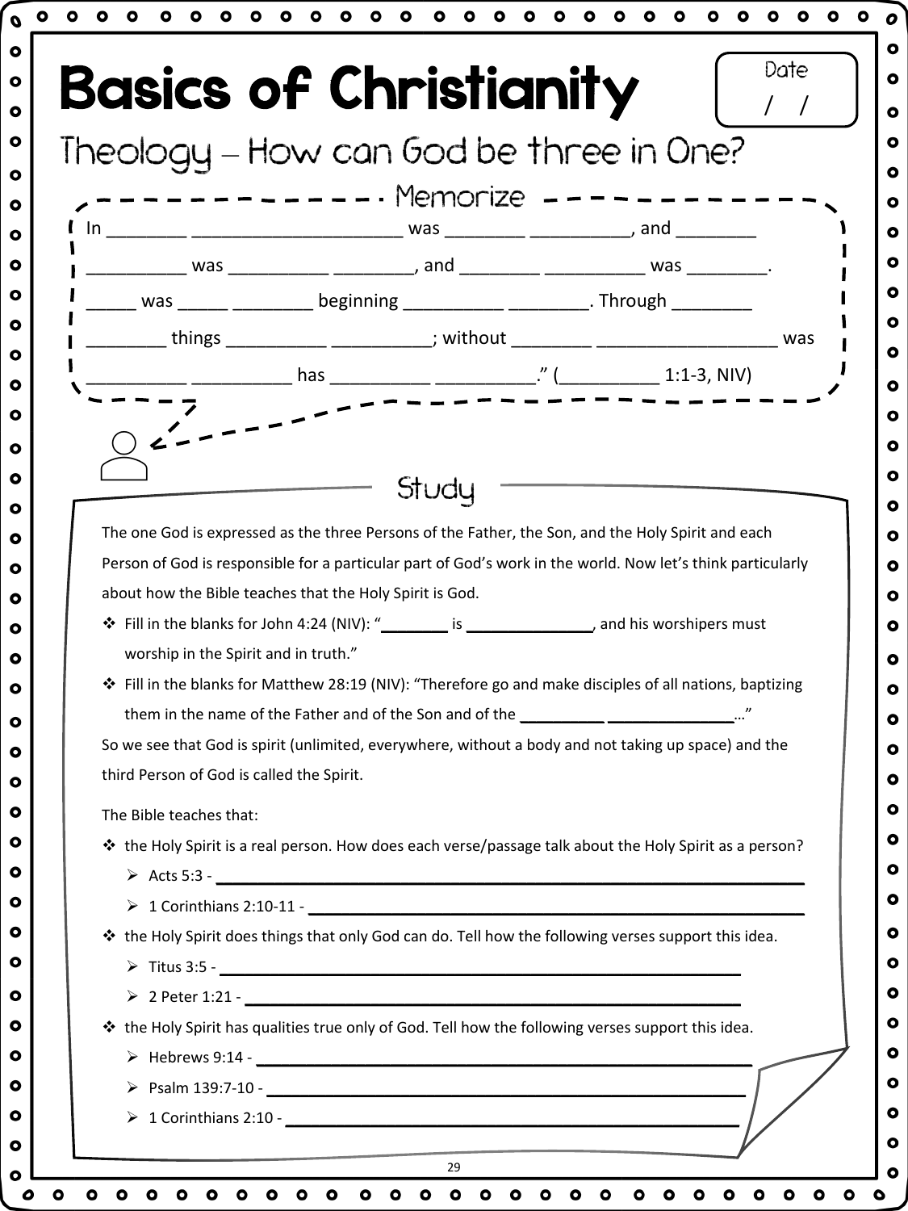|                                           | <b>Basics of Christianity</b>                                                                               |  |
|-------------------------------------------|-------------------------------------------------------------------------------------------------------------|--|
|                                           | Theology - How can God be three in One?                                                                     |  |
|                                           | --------- Memorize ----                                                                                     |  |
|                                           |                                                                                                             |  |
|                                           |                                                                                                             |  |
|                                           |                                                                                                             |  |
|                                           | ______ was ______ __________ beginning ___________ __________. Through _________                            |  |
|                                           | _________ things ___________ ___________; without ________ ______________________ was                       |  |
|                                           |                                                                                                             |  |
|                                           |                                                                                                             |  |
|                                           |                                                                                                             |  |
|                                           |                                                                                                             |  |
|                                           | Studu                                                                                                       |  |
|                                           |                                                                                                             |  |
|                                           | The one God is expressed as the three Persons of the Father, the Son, and the Holy Spirit and each          |  |
|                                           | Person of God is responsible for a particular part of God's work in the world. Now let's think particularly |  |
|                                           |                                                                                                             |  |
|                                           | about how the Bible teaches that the Holy Spirit is God.                                                    |  |
|                                           |                                                                                                             |  |
| worship in the Spirit and in truth."      |                                                                                                             |  |
|                                           | ❖ Fill in the blanks for Matthew 28:19 (NIV): "Therefore go and make disciples of all nations, baptizing    |  |
|                                           | them in the name of the Father and of the Son and of the ____________________________"                      |  |
|                                           | So we see that God is spirit (unlimited, everywhere, without a body and not taking up space) and the        |  |
| third Person of God is called the Spirit. |                                                                                                             |  |
| The Bible teaches that:                   |                                                                                                             |  |
|                                           | * the Holy Spirit is a real person. How does each verse/passage talk about the Holy Spirit as a person?     |  |
|                                           |                                                                                                             |  |
|                                           |                                                                                                             |  |
|                                           | ❖ the Holy Spirit does things that only God can do. Tell how the following verses support this idea.        |  |
|                                           |                                                                                                             |  |
|                                           |                                                                                                             |  |
|                                           |                                                                                                             |  |
|                                           | ❖ the Holy Spirit has qualities true only of God. Tell how the following verses support this idea.          |  |
|                                           |                                                                                                             |  |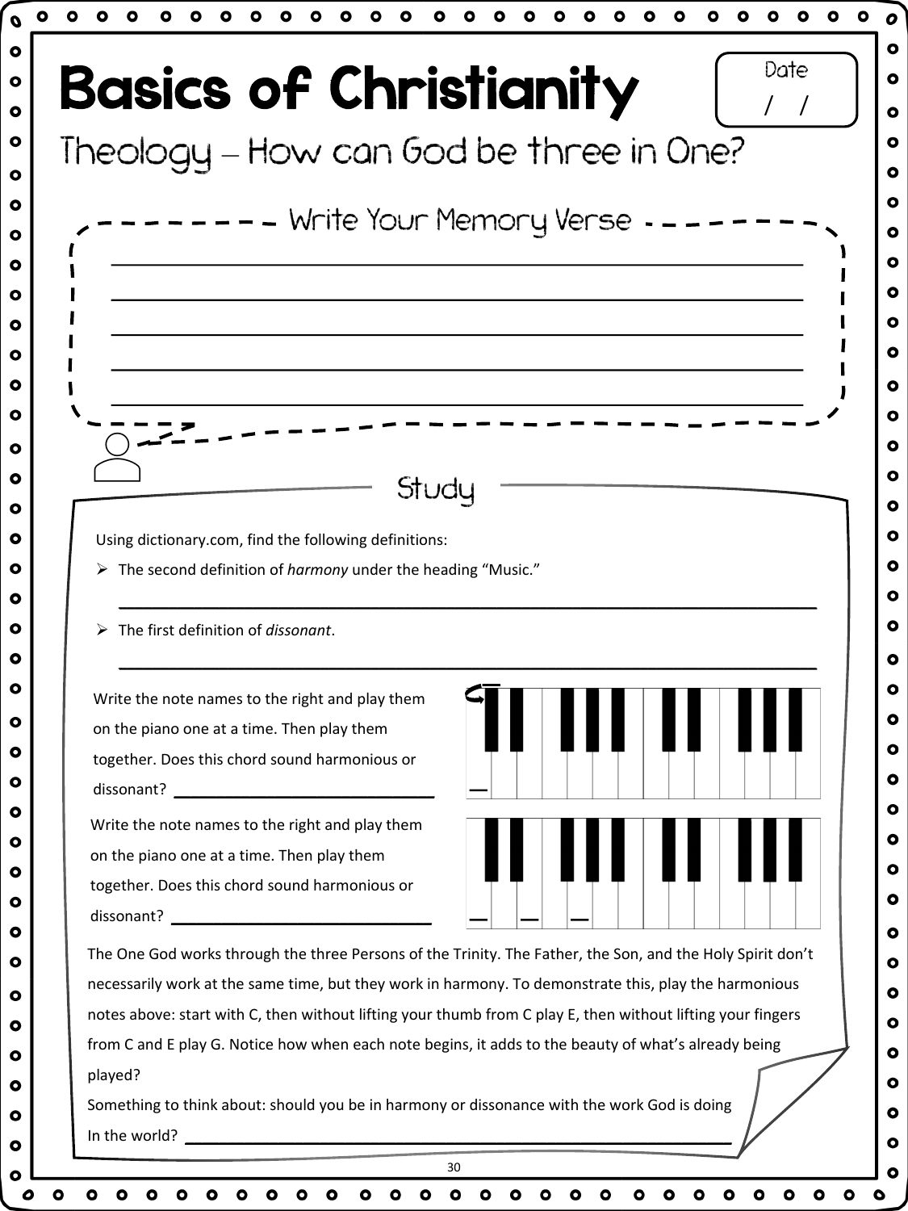| <b>Basics of Christianity</b>                                                                        | Date                                                                                                        |
|------------------------------------------------------------------------------------------------------|-------------------------------------------------------------------------------------------------------------|
|                                                                                                      |                                                                                                             |
| Theology - How can God be three in One?                                                              |                                                                                                             |
|                                                                                                      |                                                                                                             |
|                                                                                                      | -  —  — Write Your Memory Verse  -  —  —                                                                    |
|                                                                                                      |                                                                                                             |
|                                                                                                      |                                                                                                             |
|                                                                                                      |                                                                                                             |
|                                                                                                      |                                                                                                             |
|                                                                                                      |                                                                                                             |
|                                                                                                      |                                                                                                             |
|                                                                                                      |                                                                                                             |
| Study                                                                                                |                                                                                                             |
|                                                                                                      |                                                                                                             |
| Using dictionary.com, find the following definitions:                                                |                                                                                                             |
| > The second definition of harmony under the heading "Music."                                        |                                                                                                             |
|                                                                                                      |                                                                                                             |
| The first definition of dissonant.<br>➤                                                              |                                                                                                             |
|                                                                                                      |                                                                                                             |
| Write the note names to the right and play them                                                      |                                                                                                             |
| on the piano one at a time. Then play them                                                           |                                                                                                             |
| together. Does this chord sound harmonious or                                                        |                                                                                                             |
|                                                                                                      |                                                                                                             |
| Write the note names to the right and play them                                                      |                                                                                                             |
| on the piano one at a time. Then play them                                                           |                                                                                                             |
| together. Does this chord sound harmonious or                                                        |                                                                                                             |
|                                                                                                      |                                                                                                             |
|                                                                                                      | The One God works through the three Persons of the Trinity. The Father, the Son, and the Holy Spirit don't  |
|                                                                                                      | necessarily work at the same time, but they work in harmony. To demonstrate this, play the harmonious       |
|                                                                                                      | notes above: start with C, then without lifting your thumb from C play E, then without lifting your fingers |
| from C and E play G. Notice how when each note begins, it adds to the beauty of what's already being |                                                                                                             |
| played?                                                                                              |                                                                                                             |
| Something to think about: should you be in harmony or dissonance with the work God is doing          |                                                                                                             |
|                                                                                                      |                                                                                                             |